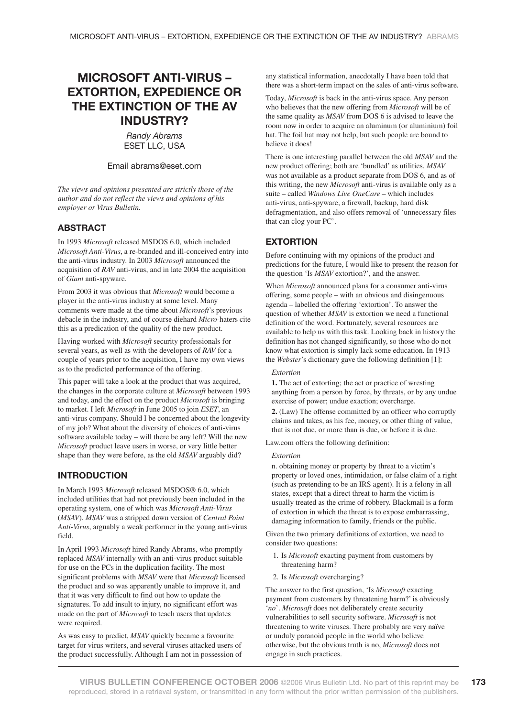# **MICROSOFT ANTI-VIRUS – EXTORTION, EXPEDIENCE OR THE EXTINCTION OF THE AV INDUSTRY?**

*Randy Abrams* ESET LLC, USA

#### Email abrams@eset.com

*The views and opinions presented are strictly those of the author and do not reflect the views and opinions of his employer or Virus Bulletin.*

#### **ABSTRACT**

In 1993 *Microsoft* released MSDOS 6.0, which included *Microsoft Anti-Virus*, a re-branded and ill-conceived entry into the anti-virus industry. In 2003 *Microsoft* announced the acquisition of *RAV* anti-virus, and in late 2004 the acquisition of *Giant* anti-spyware.

From 2003 it was obvious that *Microsoft* would become a player in the anti-virus industry at some level. Many comments were made at the time about *Microsoft*'s previous debacle in the industry, and of course diehard *Micro*-haters cite this as a predication of the quality of the new product.

Having worked with *Microsoft* security professionals for several years, as well as with the developers of *RAV* for a couple of years prior to the acquisition, I have my own views as to the predicted performance of the offering.

This paper will take a look at the product that was acquired, the changes in the corporate culture at *Microsoft* between 1993 and today, and the effect on the product *Microsoft* is bringing to market. I left *Microsoft* in June 2005 to join *ESET*, an anti-virus company. Should I be concerned about the longevity of my job? What about the diversity of choices of anti-virus software available today – will there be any left? Will the new *Microsoft* product leave users in worse, or very little better shape than they were before, as the old *MSAV* arguably did?

### **INTRODUCTION**

In March 1993 *Microsoft* released MSDOS® 6.0, which included utilities that had not previously been included in the operating system, one of which was *Microsoft Anti-Virus* (*MSAV*). *MSAV* was a stripped down version of *Central Point Anti-Virus*, arguably a weak performer in the young anti-virus field.

In April 1993 *Microsoft* hired Randy Abrams, who promptly replaced *MSAV* internally with an anti-virus product suitable for use on the PCs in the duplication facility. The most significant problems with *MSAV* were that *Microsoft* licensed the product and so was apparently unable to improve it, and that it was very difficult to find out how to update the signatures. To add insult to injury, no significant effort was made on the part of *Microsoft* to teach users that updates were required.

As was easy to predict, *MSAV* quickly became a favourite target for virus writers, and several viruses attacked users of the product successfully. Although I am not in possession of any statistical information, anecdotally I have been told that there was a short-term impact on the sales of anti-virus software.

Today, *Microsoft* is back in the anti-virus space. Any person who believes that the new offering from *Microsoft* will be of the same quality as *MSAV* from DOS 6 is advised to leave the room now in order to acquire an aluminum (or aluminium) foil hat. The foil hat may not help, but such people are bound to believe it does!

There is one interesting parallel between the old *MSAV* and the new product offering; both are 'bundled' as utilities. *MSAV* was not available as a product separate from DOS 6, and as of this writing, the new *Microsoft* anti-virus is available only as a suite – called *Windows Live OneCare* – which includes anti-virus, anti-spyware, a firewall, backup, hard disk defragmentation, and also offers removal of 'unnecessary files that can clog your PC'.

# **EXTORTION**

Before continuing with my opinions of the product and predictions for the future, I would like to present the reason for the question 'Is *MSAV* extortion?', and the answer.

When *Microsoft* announced plans for a consumer anti-virus offering, some people – with an obvious and disingenuous agenda – labelled the offering 'extortion'. To answer the question of whether *MSAV* is extortion we need a functional definition of the word. Fortunately, several resources are available to help us with this task. Looking back in history the definition has not changed significantly, so those who do not know what extortion is simply lack some education. In 1913 the *Webster*'s dictionary gave the following definition [1]:

*Extortion*

**1.** The act of extorting; the act or practice of wresting anything from a person by force, by threats, or by any undue exercise of power; undue exaction; overcharge.

**2.** (Law) The offense committed by an officer who corruptly claims and takes, as his fee, money, or other thing of value, that is not due, or more than is due, or before it is due.

Law.com offers the following definition:

#### *Extortion*

n. obtaining money or property by threat to a victim's property or loved ones, intimidation, or false claim of a right (such as pretending to be an IRS agent). It is a felony in all states, except that a direct threat to harm the victim is usually treated as the crime of robbery. Blackmail is a form of extortion in which the threat is to expose embarrassing, damaging information to family, friends or the public.

Given the two primary definitions of extortion, we need to consider two questions:

- 1. Is *Microsoft* exacting payment from customers by threatening harm?
- 2. Is *Microsoft* overcharging?

The answer to the first question, 'Is *Microsoft* exacting payment from customers by threatening harm?' is obviously '*no*'. *Microsoft* does not deliberately create security vulnerabilities to sell security software. *Microsoft* is not threatening to write viruses. There probably are very naïve or unduly paranoid people in the world who believe otherwise, but the obvious truth is no, *Microsoft* does not engage in such practices.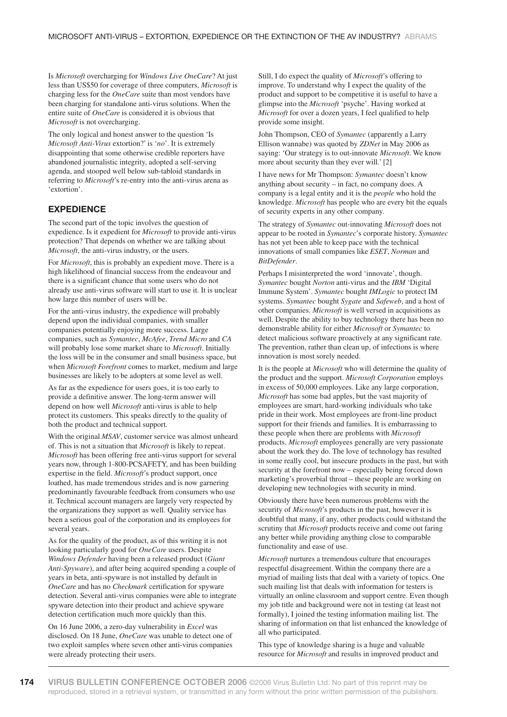Is *Microsoft* overcharging for *Windows Live OneCare*? At just less than US\$50 for coverage of three computers, *Microsoft* is charging less for the *OneCare* suite than most vendors have been charging for standalone anti-virus solutions. When the entire suite of *OneCare* is considered it is obvious that *Microsoft* is not overcharging.

The only logical and honest answer to the question 'Is *Microsoft Anti-Virus* extortion?' is '*no*'. It is extremely disappointing that some otherwise credible reporters have abandoned journalistic integrity, adopted a self-serving agenda, and stooped well below sub-tabloid standards in referring to *Microsoft*'s re-entry into the anti-virus arena as 'extortion'.

# **EXPEDIENCE**

The second part of the topic involves the question of expedience. Is it expedient for *Microsoft* to provide anti-virus protection? That depends on whether we are talking about *Microsoft*, the anti-virus industry, or the users.

For *Microsoft*, this is probably an expedient move. There is a high likelihood of financial success from the endeavour and there is a significant chance that some users who do not already use anti-virus software will start to use it. It is unclear how large this number of users will be.

For the anti-virus industry, the expedience will probably depend upon the individual companies, with smaller companies potentially enjoying more success. Large companies, such as *Symantec*, *McAfee*, *Trend Micro* and *CA* will probably lose some market share to *Microsoft*. Initially the loss will be in the consumer and small business space, but when *Microsoft Forefront* comes to market, medium and large businesses are likely to be adopters at some level as well.

As far as the expedience for users goes, it is too early to provide a definitive answer. The long-term answer will depend on how well *Microsoft* anti-virus is able to help protect its customers. This speaks directly to the quality of both the product and technical support.

With the original *MSAV*, customer service was almost unheard of. This is not a situation that *Microsoft* is likely to repeat. *Microsoft* has been offering free anti-virus support for several years now, through 1-800-PCSAFETY, and has been building expertise in the field. *Microsoft*'s product support, once loathed, has made tremendous strides and is now garnering predominantly favourable feedback from consumers who use it. Technical account managers are largely very respected by the organizations they support as well. Quality service has been a serious goal of the corporation and its employees for several years.

As for the quality of the product, as of this writing it is not looking particularly good for *OneCare* users. Despite *Windows Defender* having been a released product (*Giant Anti-Spyware*), and after being acquired spending a couple of years in beta, anti-spyware is not installed by default in *OneCare* and has no *Checkmark* certification for spyware detection. Several anti-virus companies were able to integrate spyware detection into their product and achieve spyware detection certification much more quickly than this.

On 16 June 2006, a zero-day vulnerability in *Excel* was disclosed. On 18 June, *OneCare* was unable to detect one of two exploit samples where seven other anti-virus companies were already protecting their users.

Still, I do expect the quality of *Microsoft*'s offering to improve. To understand why I expect the quality of the product and support to be competitive it is useful to have a glimpse into the *Microsoft* 'psyche'. Having worked at *Microsoft* for over a dozen years, I feel qualified to help provide some insight.

John Thompson, CEO of *Symantec* (apparently a Larry Ellison wannabe) was quoted by *ZDNet* in May 2006 as saying: 'Our strategy is to out-innovate *Microsoft*. We know more about security than they ever will.' [2]

I have news for Mr Thompson: *Symantec* doesn't know anything about security – in fact, no company does. A company is a legal entity and it is the *people* who hold the knowledge. *Microsoft* has people who are every bit the equals of security experts in any other company.

The strategy of *Symantec* out-innovating *Microsoft* does not appear to be rooted in *Symantec*'s corporate history. *Symantec* has not yet been able to keep pace with the technical innovations of small companies like *ESET*, *Norman* and *BitDefender*.

Perhaps I misinterpreted the word 'innovate', though. *Symantec* bought *Norton* anti-virus and the *IBM* 'Digital Immune System'. *Symantec* bought *IMLogic* to protect IM systems. *Symantec* bought *Sygate* and *Safeweb*, and a host of other companies. *Microsoft* is well versed in acquisitions as well. Despite the ability to buy technology there has been no demonstrable ability for either *Microsoft* or *Symantec* to detect malicious software proactively at any significant rate. The prevention, rather than clean up, of infections is where innovation is most sorely needed.

It is the people at *Microsoft* who will determine the quality of the product and the support. *Microsoft Corporation* employs in excess of 50,000 employees. Like any large corporation, *Microsoft* has some bad apples, but the vast majority of employees are smart, hard-working individuals who take pride in their work. Most employees are front-line product support for their friends and families. It is embarrassing to these people when there are problems with *Microsoft* products. *Microsoft* employees generally are very passionate about the work they do. The love of technology has resulted in some really cool, but insecure products in the past, but with security at the forefront now – especially being forced down marketing's proverbial throat – these people are working on developing new technologies with security in mind.

Obviously there have been numerous problems with the security of *Microsoft*'s products in the past, however it is doubtful that many, if any, other products could withstand the scrutiny that *Microsoft* products receive and come out faring any better while providing anything close to comparable functionality and ease of use.

*Microsoft* nurtures a tremendous culture that encourages respectful disagreement. Within the company there are a myriad of mailing lists that deal with a variety of topics. One such mailing list that deals with information for testers is virtually an online classroom and support centre. Even though my job title and background were not in testing (at least not formally), I joined the testing information mailing list. The sharing of information on that list enhanced the knowledge of all who participated.

This type of knowledge sharing is a huge and valuable resource for *Microsoft* and results in improved product and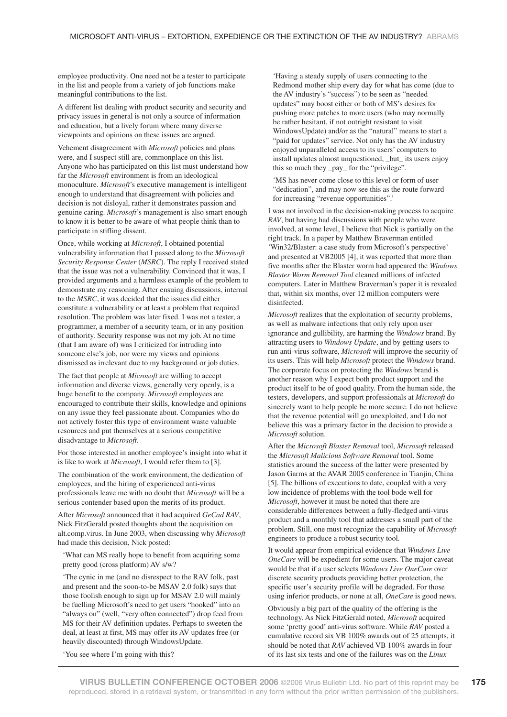employee productivity. One need not be a tester to participate in the list and people from a variety of job functions make meaningful contributions to the list.

A different list dealing with product security and security and privacy issues in general is not only a source of information and education, but a lively forum where many diverse viewpoints and opinions on these issues are argued.

Vehement disagreement with *Microsoft* policies and plans were, and I suspect still are, commonplace on this list. Anyone who has participated on this list must understand how far the *Microsoft* environment is from an ideological monoculture. *Microsoft*'s executive management is intelligent enough to understand that disagreement with policies and decision is not disloyal, rather it demonstrates passion and genuine caring. *Microsoft*'s management is also smart enough to know it is better to be aware of what people think than to participate in stifling dissent.

Once, while working at *Microsoft*, I obtained potential vulnerability information that I passed along to the *Microsoft Security Response Center* (*MSRC*). The reply I received stated that the issue was not a vulnerability. Convinced that it was, I provided arguments and a harmless example of the problem to demonstrate my reasoning. After ensuing discussions, internal to the *MSRC*, it was decided that the issues did either constitute a vulnerability or at least a problem that required resolution. The problem was later fixed. I was not a tester, a programmer, a member of a security team, or in any position of authority. Security response was not my job. At no time (that I am aware of) was I criticized for intruding into someone else's job, nor were my views and opinions dismissed as irrelevant due to my background or job duties.

The fact that people at *Microsoft* are willing to accept information and diverse views, generally very openly, is a huge benefit to the company. *Microsoft* employees are encouraged to contribute their skills, knowledge and opinions on any issue they feel passionate about. Companies who do not actively foster this type of environment waste valuable resources and put themselves at a serious competitive disadvantage to *Microsoft*.

For those interested in another employee's insight into what it is like to work at *Microsoft*, I would refer them to [3].

The combination of the work environment, the dedication of employees, and the hiring of experienced anti-virus professionals leave me with no doubt that *Microsoft* will be a serious contender based upon the merits of its product.

After *Microsoft* announced that it had acquired *GeCad RAV*, Nick FitzGerald posted thoughts about the acquisition on alt.comp.virus. In June 2003, when discussing why *Microsoft* had made this decision, Nick posted:

'What can MS really hope to benefit from acquiring some pretty good (cross platform) AV s/w?

'The cynic in me (and no disrespect to the RAV folk, past and present and the soon-to-be MSAV 2.0 folk) says that those foolish enough to sign up for MSAV 2.0 will mainly be fuelling Microsoft's need to get users "hooked" into an "always on" (well, "very often connected") drop feed from MS for their AV definition updates. Perhaps to sweeten the deal, at least at first, MS may offer its AV updates free (or heavily discounted) through WindowsUpdate.

'Having a steady supply of users connecting to the Redmond mother ship every day for what has come (due to the AV industry's "success") to be seen as "needed updates" may boost either or both of MS's desires for pushing more patches to more users (who may normally be rather hesitant, if not outright resistant to visit WindowsUpdate) and/or as the "natural" means to start a "paid for updates" service. Not only has the AV industry enjoyed unparalleled access to its users' computers to install updates almost unquestioned, \_but\_ its users enjoy this so much they \_pay\_ for the "privilege".

'MS has never come close to this level or form of user "dedication", and may now see this as the route forward for increasing "revenue opportunities".'

I was not involved in the decision-making process to acquire *RAV*, but having had discussions with people who were involved, at some level, I believe that Nick is partially on the right track. In a paper by Matthew Braverman entitled 'Win32/Blaster: a case study from Microsoft's perspective' and presented at VB2005 [4], it was reported that more than five months after the Blaster worm had appeared the *Windows Blaster Worm Removal Tool* cleaned millions of infected computers. Later in Matthew Braverman's paper it is revealed that, within six months, over 12 million computers were disinfected.

*Microsoft* realizes that the exploitation of security problems, as well as malware infections that only rely upon user ignorance and gullibility, are harming the *Windows* brand. By attracting users to *Windows Update*, and by getting users to run anti-virus software, *Microsoft* will improve the security of its users. This will help *Microsoft* protect the *Windows* brand. The corporate focus on protecting the *Windows* brand is another reason why I expect both product support and the product itself to be of good quality. From the human side, the testers, developers, and support professionals at *Microsoft* do sincerely want to help people be more secure. I do not believe that the revenue potential will go unexploited, and I do not believe this was a primary factor in the decision to provide a *Microsoft* solution.

After the *Microsoft Blaster Removal* tool, *Microsoft* released the *Microsoft Malicious Software Removal* tool. Some statistics around the success of the latter were presented by Jason Garms at the AVAR 2005 conference in Tianjin, China [5]. The billions of executions to date, coupled with a very low incidence of problems with the tool bode well for *Microsoft*, however it must be noted that there are considerable differences between a fully-fledged anti-virus product and a monthly tool that addresses a small part of the problem. Still, one must recognize the capability of *Microsoft* engineers to produce a robust security tool.

It would appear from empirical evidence that *Windows Live OneCare* will be expedient for some users. The major caveat would be that if a user selects *Windows Live OneCare* over discrete security products providing better protection, the specific user's security profile will be degraded. For those using inferior products, or none at all, *OneCare* is good news.

Obviously a big part of the quality of the offering is the technology. As Nick FitzGerald noted, *Microsoft* acquired some 'pretty good' anti-virus software. While *RAV* posted a cumulative record six VB 100% awards out of 25 attempts, it should be noted that *RAV* achieved VB 100% awards in four of its last six tests and one of the failures was on the *Linux*

'You see where I'm going with this?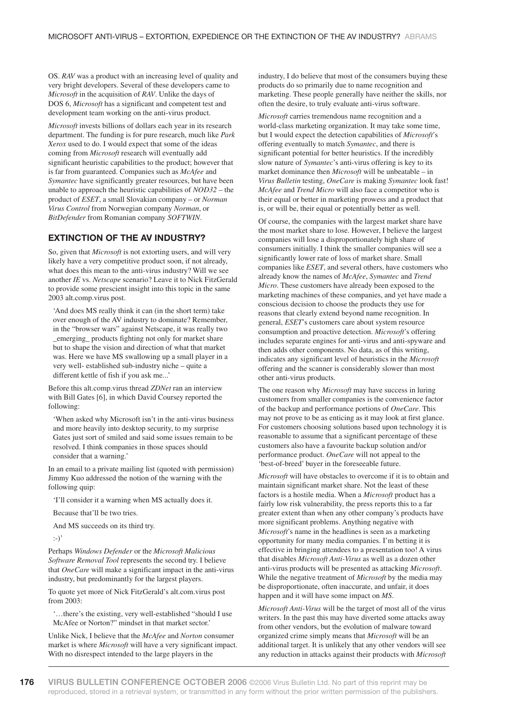OS. *RAV* was a product with an increasing level of quality and very bright developers. Several of these developers came to *Microsoft* in the acquisition of *RAV*. Unlike the days of DOS 6, *Microsoft* has a significant and competent test and development team working on the anti-virus product.

*Microsoft* invests billions of dollars each year in its research department. The funding is for pure research, much like *Park Xerox* used to do. I would expect that some of the ideas coming from *Microsoft* research will eventually add significant heuristic capabilities to the product; however that is far from guaranteed. Companies such as *McAfee* and *Symantec* have significantly greater resources, but have been unable to approach the heuristic capabilities of *NOD32* – the product of *ESET*, a small Slovakian company – or *Norman Virus Control* from Norwegian company *Norman*, or *BitDefender* from Romanian company *SOFTWIN*.

## **EXTINCTION OF THE AV INDUSTRY?**

So, given that *Microsoft* is not extorting users, and will very likely have a very competitive product soon, if not already, what does this mean to the anti-virus industry? Will we see another *IE* vs. *Netscape* scenario? Leave it to Nick FitzGerald to provide some prescient insight into this topic in the same 2003 alt.comp.virus post.

'And does MS really think it can (in the short term) take over enough of the AV industry to dominate? Remember, in the "browser wars" against Netscape, it was really two \_emerging\_ products fighting not only for market share but to shape the vision and direction of what that market was. Here we have MS swallowing up a small player in a very well- established sub-industry niche – quite a different kettle of fish if you ask me...'

Before this alt.comp.virus thread *ZDNet* ran an interview with Bill Gates [6], in which David Coursey reported the following:

'When asked why Microsoft isn't in the anti-virus business and more heavily into desktop security, to my surprise Gates just sort of smiled and said some issues remain to be resolved. I think companies in those spaces should consider that a warning.'

In an email to a private mailing list (quoted with permission) Jimmy Kuo addressed the notion of the warning with the following quip:

'I'll consider it a warning when MS actually does it.

Because that'll be two tries.

And MS succeeds on its third try.

:-)'

Perhaps *Windows Defender* or the *Microsoft Malicious Software Removal Tool* represents the second try. I believe that *OneCare* will make a significant impact in the anti-virus industry, but predominantly for the largest players.

To quote yet more of Nick FitzGerald's alt.com.virus post from 2003:

'…there's the existing, very well-established "should I use McAfee or Norton?" mindset in that market sector.'

Unlike Nick, I believe that the *McAfee* and *Norton* consumer market is where *Microsoft* will have a very significant impact. With no disrespect intended to the large players in the

industry, I do believe that most of the consumers buying these products do so primarily due to name recognition and marketing. These people generally have neither the skills, nor often the desire, to truly evaluate anti-virus software.

*Microsoft* carries tremendous name recognition and a world-class marketing organization. It may take some time, but I would expect the detection capabilities of *Microsoft*'s offering eventually to match *Symantec*, and there is significant potential for better heuristics. If the incredibly slow nature of *Symantec*'s anti-virus offering is key to its market dominance then *Microsoft* will be unbeatable – in *Virus Bulletin* testing, *OneCare* is making *Symantec* look fast! *McAfee* and *Trend Micro* will also face a competitor who is their equal or better in marketing prowess and a product that is, or will be, their equal or potentially better as well.

Of course, the companies with the largest market share have the most market share to lose. However, I believe the largest companies will lose a disproportionately high share of consumers initially. I think the smaller companies will see a significantly lower rate of loss of market share. Small companies like *ESET*, and several others, have customers who already know the names of *McAfee*, *Symantec* and *Trend Micro*. These customers have already been exposed to the marketing machines of these companies, and yet have made a conscious decision to choose the products they use for reasons that clearly extend beyond name recognition. In general, *ESET*'s customers care about system resource consumption and proactive detection. *Microsoft*'s offering includes separate engines for anti-virus and anti-spyware and then adds other components. No data, as of this writing, indicates any significant level of heuristics in the *Microsoft* offering and the scanner is considerably slower than most other anti-virus products.

The one reason why *Microsoft* may have success in luring customers from smaller companies is the convenience factor of the backup and performance portions of *OneCare*. This may not prove to be as enticing as it may look at first glance. For customers choosing solutions based upon technology it is reasonable to assume that a significant percentage of these customers also have a favourite backup solution and/or performance product. *OneCare* will not appeal to the 'best-of-breed' buyer in the foreseeable future.

*Microsoft* will have obstacles to overcome if it is to obtain and maintain significant market share. Not the least of these factors is a hostile media. When a *Microsoft* product has a fairly low risk vulnerability, the press reports this to a far greater extent than when any other company's products have more significant problems. Anything negative with *Microsoft*'s name in the headlines is seen as a marketing opportunity for many media companies. I'm betting it is effective in bringing attendees to a presentation too! A virus that disables *Microsoft Anti-Virus* as well as a dozen other anti-virus products will be presented as attacking *Microsoft*. While the negative treatment of *Microsoft* by the media may be disproportionate, often inaccurate, and unfair, it does happen and it will have some impact on *MS*.

*Microsoft Anti-Virus* will be the target of most all of the virus writers. In the past this may have diverted some attacks away from other vendors, but the evolution of malware toward organized crime simply means that *Microsoft* will be an additional target. It is unlikely that any other vendors will see any reduction in attacks against their products with *Microsoft*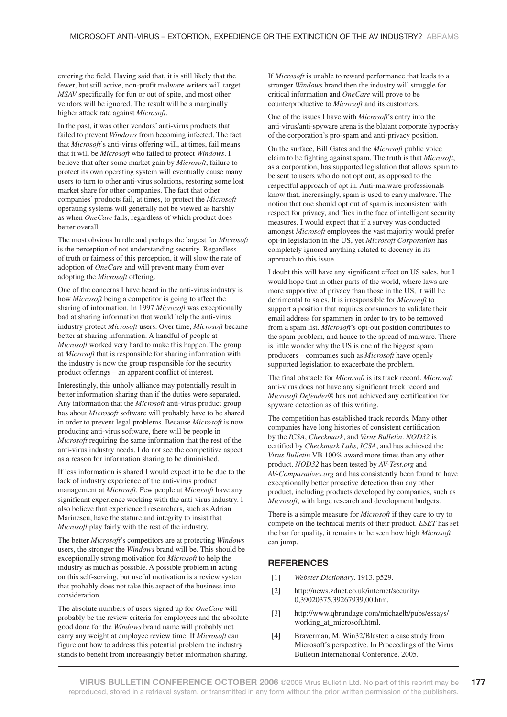entering the field. Having said that, it is still likely that the fewer, but still active, non-profit malware writers will target *MSAV* specifically for fun or out of spite, and most other vendors will be ignored. The result will be a marginally higher attack rate against *Microsoft*.

In the past, it was other vendors' anti-virus products that failed to prevent *Windows* from becoming infected. The fact that *Microsoft*'s anti-virus offering will, at times, fail means that it will be *Microsoft* who failed to protect *Windows*. I believe that after some market gain by *Microsoft*, failure to protect its own operating system will eventually cause many users to turn to other anti-virus solutions, restoring some lost market share for other companies. The fact that other companies' products fail, at times, to protect the *Microsoft* operating systems will generally not be viewed as harshly as when *OneCare* fails, regardless of which product does better overall.

The most obvious hurdle and perhaps the largest for *Microsoft* is the perception of not understanding security. Regardless of truth or fairness of this perception, it will slow the rate of adoption of *OneCare* and will prevent many from ever adopting the *Microsoft* offering.

One of the concerns I have heard in the anti-virus industry is how *Microsoft* being a competitor is going to affect the sharing of information. In 1997 *Microsoft* was exceptionally bad at sharing information that would help the anti-virus industry protect *Microsoft* users. Over time, *Microsoft* became better at sharing information. A handful of people at *Microsoft* worked very hard to make this happen. The group at *Microsoft* that is responsible for sharing information with the industry is now the group responsible for the security product offerings – an apparent conflict of interest.

Interestingly, this unholy alliance may potentially result in better information sharing than if the duties were separated. Any information that the *Microsoft* anti-virus product group has about *Microsoft* software will probably have to be shared in order to prevent legal problems. Because *Microsoft* is now producing anti-virus software, there will be people in *Microsoft* requiring the same information that the rest of the anti-virus industry needs. I do not see the competitive aspect as a reason for information sharing to be diminished.

If less information is shared I would expect it to be due to the lack of industry experience of the anti-virus product management at *Microsoft*. Few people at *Microsoft* have any significant experience working with the anti-virus industry. I also believe that experienced researchers, such as Adrian Marinescu, have the stature and integrity to insist that *Microsoft* play fairly with the rest of the industry.

The better *Microsoft*'s competitors are at protecting *Windows* users, the stronger the *Windows* brand will be. This should be exceptionally strong motivation for *Microsoft* to help the industry as much as possible. A possible problem in acting on this self-serving, but useful motivation is a review system that probably does not take this aspect of the business into consideration.

The absolute numbers of users signed up for *OneCare* will probably be the review criteria for employees and the absolute good done for the *Windows* brand name will probably not carry any weight at employee review time. If *Microsoft* can figure out how to address this potential problem the industry stands to benefit from increasingly better information sharing.

If *Microsoft* is unable to reward performance that leads to a stronger *Windows* brand then the industry will struggle for critical information and *OneCare* will prove to be counterproductive to *Microsoft* and its customers.

One of the issues I have with *Microsoft*'s entry into the anti-virus/anti-spyware arena is the blatant corporate hypocrisy of the corporation's pro-spam and anti-privacy position.

On the surface, Bill Gates and the *Microsoft* public voice claim to be fighting against spam. The truth is that *Microsoft*, as a corporation, has supported legislation that allows spam to be sent to users who do not opt out, as opposed to the respectful approach of opt in. Anti-malware professionals know that, increasingly, spam is used to carry malware. The notion that one should opt out of spam is inconsistent with respect for privacy, and flies in the face of intelligent security measures. I would expect that if a survey was conducted amongst *Microsoft* employees the vast majority would prefer opt-in legislation in the US, yet *Microsoft Corporation* has completely ignored anything related to decency in its approach to this issue.

I doubt this will have any significant effect on US sales, but I would hope that in other parts of the world, where laws are more supportive of privacy than those in the US, it will be detrimental to sales. It is irresponsible for *Microsoft* to support a position that requires consumers to validate their email address for spammers in order to try to be removed from a spam list. *Microsoft*'s opt-out position contributes to the spam problem, and hence to the spread of malware. There is little wonder why the US is one of the biggest spam producers – companies such as *Microsoft* have openly supported legislation to exacerbate the problem.

The final obstacle for *Microsoft* is its track record. *Microsoft* anti-virus does not have any significant track record and *Microsoft Defender*® has not achieved any certification for spyware detection as of this writing.

The competition has established track records. Many other companies have long histories of consistent certification by the *ICSA*, *Checkmark*, and *Virus Bulletin*. *NOD32* is certified by *Checkmark Labs*, *ICSA*, and has achieved the *Virus Bulletin* VB 100% award more times than any other product. *NOD32* has been tested by *AV-Test.org* and *AV-Comparatives.org* and has consistently been found to have exceptionally better proactive detection than any other product, including products developed by companies, such as *Microsoft*, with large research and development budgets.

There is a simple measure for *Microsoft* if they care to try to compete on the technical merits of their product. *ESET* has set the bar for quality, it remains to be seen how high *Microsoft* can jump.

#### **REFERENCES**

- [1] *Webster Dictionary*. 1913. p529.
- [2] http://news.zdnet.co.uk/internet/security/ 0,39020375,39267939,00.htm.
- [3] http://www.qbrundage.com/michaelb/pubs/essays/ working\_at\_microsoft.html.
- [4] Braverman, M. Win32/Blaster: a case study from Microsoft's perspective. In Proceedings of the Virus Bulletin International Conference. 2005.